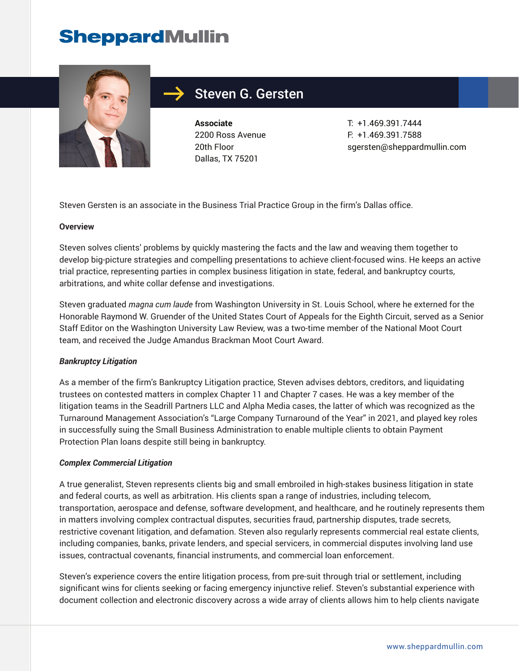# **SheppardMullin**



## Steven G. Gersten

**Associate** 2200 Ross Avenue 20th Floor Dallas, TX 75201

T: +1.469.391.7444 F: +1.469.391.7588 sgersten@sheppardmullin.com

Steven Gersten is an associate in the Business Trial Practice Group in the firm's Dallas office.

#### **Overview**

Steven solves clients' problems by quickly mastering the facts and the law and weaving them together to develop big-picture strategies and compelling presentations to achieve client-focused wins. He keeps an active trial practice, representing parties in complex business litigation in state, federal, and bankruptcy courts, arbitrations, and white collar defense and investigations.

Steven graduated *magna cum laude* from Washington University in St. Louis School, where he externed for the Honorable Raymond W. Gruender of the United States Court of Appeals for the Eighth Circuit, served as a Senior Staff Editor on the Washington University Law Review, was a two-time member of the National Moot Court team, and received the Judge Amandus Brackman Moot Court Award.

#### *Bankruptcy Litigation*

As a member of the firm's Bankruptcy Litigation practice, Steven advises debtors, creditors, and liquidating trustees on contested matters in complex Chapter 11 and Chapter 7 cases. He was a key member of the litigation teams in the Seadrill Partners LLC and Alpha Media cases, the latter of which was recognized as the Turnaround Management Association's "Large Company Turnaround of the Year" in 2021, and played key roles in successfully suing the Small Business Administration to enable multiple clients to obtain Payment Protection Plan loans despite still being in bankruptcy.

#### *Complex Commercial Litigation*

A true generalist, Steven represents clients big and small embroiled in high-stakes business litigation in state and federal courts, as well as arbitration. His clients span a range of industries, including telecom, transportation, aerospace and defense, software development, and healthcare, and he routinely represents them in matters involving complex contractual disputes, securities fraud, partnership disputes, trade secrets, restrictive covenant litigation, and defamation. Steven also regularly represents commercial real estate clients, including companies, banks, private lenders, and special servicers, in commercial disputes involving land use issues, contractual covenants, financial instruments, and commercial loan enforcement.

Steven's experience covers the entire litigation process, from pre-suit through trial or settlement, including significant wins for clients seeking or facing emergency injunctive relief. Steven's substantial experience with document collection and electronic discovery across a wide array of clients allows him to help clients navigate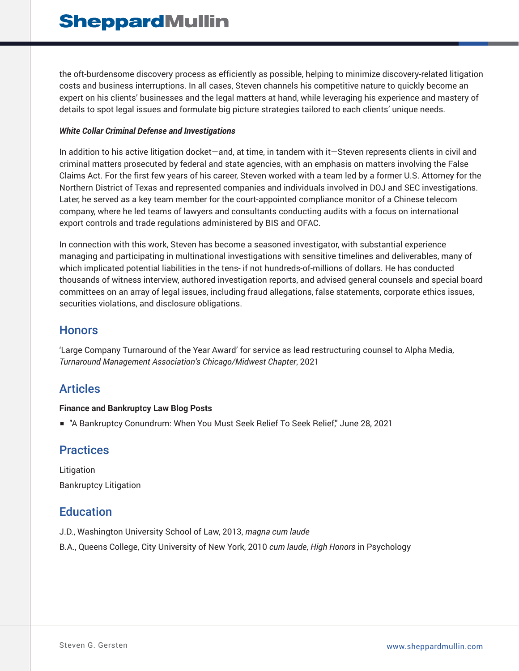the oft-burdensome discovery process as efficiently as possible, helping to minimize discovery-related litigation costs and business interruptions. In all cases, Steven channels his competitive nature to quickly become an expert on his clients' businesses and the legal matters at hand, while leveraging his experience and mastery of details to spot legal issues and formulate big picture strategies tailored to each clients' unique needs.

#### *White Collar Criminal Defense and Investigations*

In addition to his active litigation docket—and, at time, in tandem with it—Steven represents clients in civil and criminal matters prosecuted by federal and state agencies, with an emphasis on matters involving the False Claims Act. For the first few years of his career, Steven worked with a team led by a former U.S. Attorney for the Northern District of Texas and represented companies and individuals involved in DOJ and SEC investigations. Later, he served as a key team member for the court-appointed compliance monitor of a Chinese telecom company, where he led teams of lawyers and consultants conducting audits with a focus on international export controls and trade regulations administered by BIS and OFAC.

In connection with this work, Steven has become a seasoned investigator, with substantial experience managing and participating in multinational investigations with sensitive timelines and deliverables, many of which implicated potential liabilities in the tens- if not hundreds-of-millions of dollars. He has conducted thousands of witness interview, authored investigation reports, and advised general counsels and special board committees on an array of legal issues, including fraud allegations, false statements, corporate ethics issues, securities violations, and disclosure obligations.

#### **Honors**

'Large Company Turnaround of the Year Award' for service as lead restructuring counsel to Alpha Media, *Turnaround Management Association's Chicago/Midwest Chapter*, 2021

## Articles

#### **Finance and Bankruptcy Law Blog Posts**

■ "A Bankruptcy Conundrum: When You Must Seek Relief To Seek Relief," June 28, 2021

## **Practices**

Litigation Bankruptcy Litigation

## **Education**

- J.D., Washington University School of Law, 2013, *magna cum laude*
- B.A., Queens College, City University of New York, 2010 *cum laude*, *High Honors* in Psychology